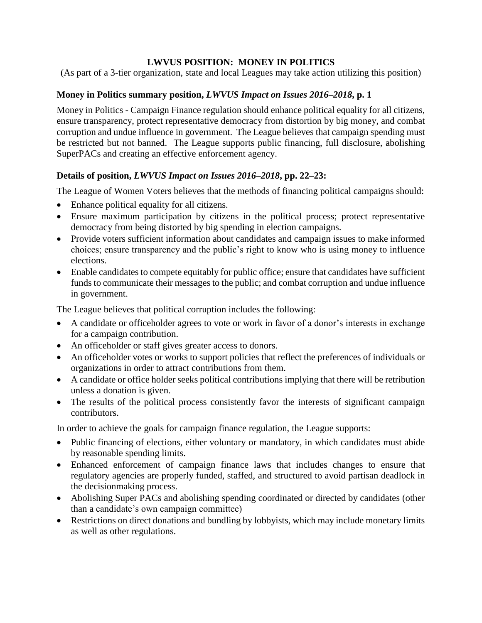## **LWVUS POSITION: MONEY IN POLITICS**

(As part of a 3-tier organization, state and local Leagues may take action utilizing this position)

## **Money in Politics summary position,** *LWVUS Impact on Issues 2016–2018***, p. 1**

Money in Politics - Campaign Finance regulation should enhance political equality for all citizens, ensure transparency, protect representative democracy from distortion by big money, and combat corruption and undue influence in government. The League believes that campaign spending must be restricted but not banned. The League supports public financing, full disclosure, abolishing SuperPACs and creating an effective enforcement agency.

## **Details of position,** *LWVUS Impact on Issues 2016–2018***, pp. 22–23:**

The League of Women Voters believes that the methods of financing political campaigns should:

- Enhance political equality for all citizens.
- Ensure maximum participation by citizens in the political process; protect representative democracy from being distorted by big spending in election campaigns.
- Provide voters sufficient information about candidates and campaign issues to make informed choices; ensure transparency and the public's right to know who is using money to influence elections.
- Enable candidates to compete equitably for public office; ensure that candidates have sufficient funds to communicate their messages to the public; and combat corruption and undue influence in government.

The League believes that political corruption includes the following:

- A candidate or officeholder agrees to vote or work in favor of a donor's interests in exchange for a campaign contribution.
- An officeholder or staff gives greater access to donors.
- An officeholder votes or works to support policies that reflect the preferences of individuals or organizations in order to attract contributions from them.
- A candidate or office holder seeks political contributions implying that there will be retribution unless a donation is given.
- The results of the political process consistently favor the interests of significant campaign contributors.

In order to achieve the goals for campaign finance regulation, the League supports:

- Public financing of elections, either voluntary or mandatory, in which candidates must abide by reasonable spending limits.
- Enhanced enforcement of campaign finance laws that includes changes to ensure that regulatory agencies are properly funded, staffed, and structured to avoid partisan deadlock in the decisionmaking process.
- Abolishing Super PACs and abolishing spending coordinated or directed by candidates (other than a candidate's own campaign committee)
- Restrictions on direct donations and bundling by lobbyists, which may include monetary limits as well as other regulations.